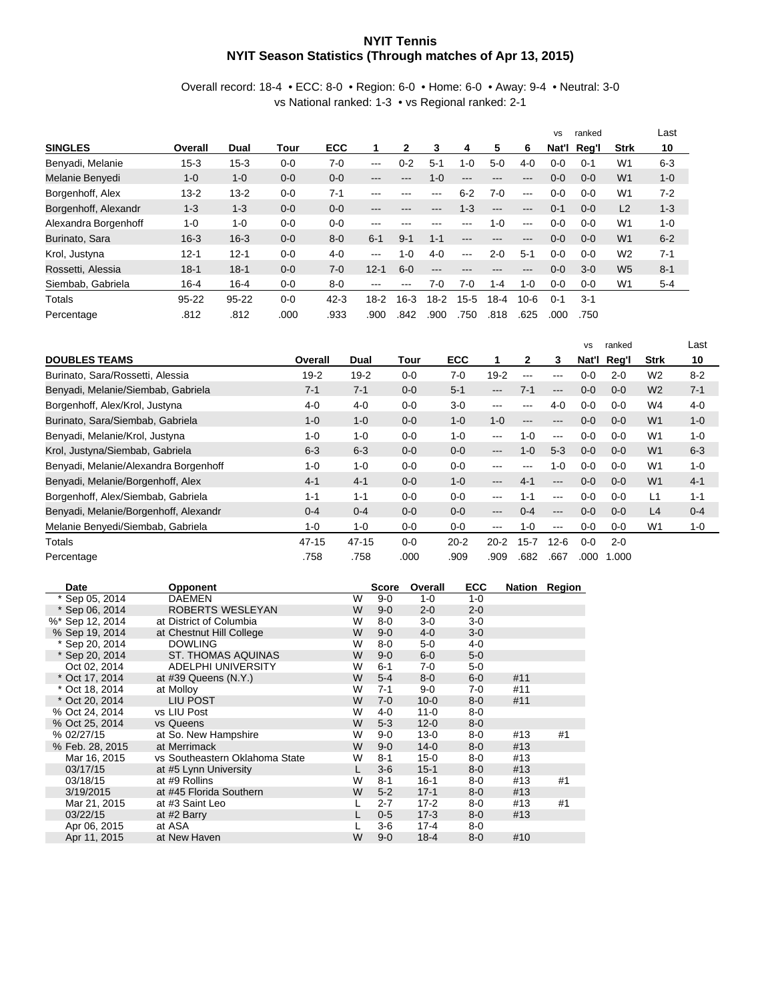## **NYIT Tennis NYIT Season Statistics (Through matches of Apr 13, 2015)**

Overall record: 18-4 • ECC: 8-0 • Region: 6-0 • Home: 6-0 • Away: 9-4 • Neutral: 3-0 vs National ranked: 1-3 • vs Regional ranked: 2-1

|                      |           |           |         |            |          |          |          |         |          |          | <b>VS</b> | ranked  |                | Last    |
|----------------------|-----------|-----------|---------|------------|----------|----------|----------|---------|----------|----------|-----------|---------|----------------|---------|
| <b>SINGLES</b>       | Overall   | Dual      | Tour    | <b>ECC</b> |          | 2        | 3        | 4       | 5        | 6        | Nat'l     | Reg'l   | <b>Strk</b>    | 10      |
| Benyadi, Melanie     | $15-3$    | $15 - 3$  | $0 - 0$ | $7-0$      | $---$    | $0 - 2$  | $5-1$    | 1-0     | $5-0$    | $4 - 0$  | $0 - 0$   | $0 - 1$ | W <sub>1</sub> | $6 - 3$ |
| Melanie Benyedi      | $1 - 0$   | $1 - 0$   | $0 - 0$ | $0 - 0$    | ---      | ---      | $1 - 0$  | ---     | ---      | ---      | $0 - 0$   | $0 - 0$ | W <sub>1</sub> | $1 - 0$ |
| Borgenhoff, Alex     | $13 - 2$  | $13 - 2$  | $0 - 0$ | $7 - 1$    | ---      | ---      | ---      | $6 - 2$ | $7-0$    | $---$    | $0-0$     | $0 - 0$ | W <sub>1</sub> | $7 - 2$ |
| Borgenhoff, Alexandr | $1 - 3$   | $1 - 3$   | $0 - 0$ | $0 - 0$    | ---      | ---      | ---      | $1 - 3$ | $---$    | $---$    | $0 - 1$   | $0 - 0$ | L <sub>2</sub> | $1 - 3$ |
| Alexandra Borgenhoff | $1 - 0$   | $1 - 0$   | $0 - 0$ | $0 - 0$    | ---      | ---      | ---      | ---     | $1 - 0$  | $---$    | $0 - 0$   | $0 - 0$ | W <sub>1</sub> | $1 - 0$ |
| Burinato, Sara       | $16 - 3$  | $16 - 3$  | $0 - 0$ | $8 - 0$    | $6 - 1$  | $9 - 1$  | $1 - 1$  | ---     | ---      | ---      | $0 - 0$   | $0 - 0$ | W <sub>1</sub> | $6 - 2$ |
| Krol, Justyna        | $12 - 1$  | $12 - 1$  | $0 - 0$ | $4 - 0$    | $---$    | $1 - 0$  | $4 - 0$  | ---     | $2 - 0$  | $5 - 1$  | $0-0$     | $0 - 0$ | W <sub>2</sub> | $7 - 1$ |
| Rossetti, Alessia    | $18 - 1$  | $18 - 1$  | $0 - 0$ | $7-0$      | $12 - 1$ | $6-0$    | ---      | ---     | ---      | ---      | $0 - 0$   | $3-0$   | W <sub>5</sub> | $8 - 1$ |
| Siembab, Gabriela    | $16 - 4$  | $16 - 4$  | $0 - 0$ | $8 - 0$    | ---      | ---      | 7-0      | $7-0$   | 1-4      | $1 - 0$  | $0 - 0$   | $0 - 0$ | W <sub>1</sub> | $5 - 4$ |
| Totals               | $95 - 22$ | $95 - 22$ | $0 - 0$ | $42 - 3$   | $18 - 2$ | $16 - 3$ | $18 - 2$ | $15-5$  | $18 - 4$ | $10 - 6$ | $0 - 1$   | $3 - 1$ |                |         |
| Percentage           | .812      | .812      | .000    | .933       | .900     | .842     | .900     | .750    | .818     | .625     | .000      | .750    |                |         |

|                                       |           |           |         |            |                        |                   |         | <b>VS</b> | ranked  |                | Last    |
|---------------------------------------|-----------|-----------|---------|------------|------------------------|-------------------|---------|-----------|---------|----------------|---------|
| <b>DOUBLES TEAMS</b>                  | Overall   | Dual      | Tour    | <b>ECC</b> | 1                      | 2                 | 3       | Nat'l     | Reg'l   | <b>Strk</b>    | 10      |
| Burinato, Sara/Rossetti, Alessia      | $19 - 2$  | $19 - 2$  | $0 - 0$ | $7-0$      | $19 - 2$               | $--$              | ---     | $0 - 0$   | $2 - 0$ | W <sub>2</sub> | $8 - 2$ |
| Benyadi, Melanie/Siembab, Gabriela    | $7 - 1$   | $7 - 1$   | $0 - 0$ | $5 - 1$    | ---                    | $7-1$             | $---$   | $0 - 0$   | $0 - 0$ | W <sub>2</sub> | $7 - 1$ |
| Borgenhoff, Alex/Krol, Justyna        | $4 - 0$   | $4 - 0$   | $0 - 0$ | $3-0$      | ---                    | $--$              | $4 - 0$ | $0-0$     | $0 - 0$ | W4             | $4 - 0$ |
| Burinato, Sara/Siembab, Gabriela      | $1 - 0$   | $1 - 0$   | $0 - 0$ | $1 - 0$    | $1 - 0$                | $\qquad \qquad -$ | ---     | $0 - 0$   | $0 - 0$ | W <sub>1</sub> | $1 - 0$ |
| Benyadi, Melanie/Krol, Justyna        | $1 - 0$   | $1 - 0$   | $0 - 0$ | $1 - 0$    | ---                    | $1 - 0$           | ---     | $0-0$     | $0 - 0$ | W <sub>1</sub> | $1 - 0$ |
| Krol, Justyna/Siembab, Gabriela       | $6 - 3$   | $6 - 3$   | $0 - 0$ | $0 - 0$    | ---                    | $1 - 0$           | $5-3$   | $0 - 0$   | $0 - 0$ | W <sub>1</sub> | $6 - 3$ |
| Benyadi, Melanie/Alexandra Borgenhoff | $1 - 0$   | $1 - 0$   | $0 - 0$ | $0 - 0$    | ---                    | $-- -$            | $1 - 0$ | $0 - 0$   | $0 - 0$ | W <sub>1</sub> | $1 - 0$ |
| Benyadi, Melanie/Borgenhoff, Alex     | $4 - 1$   | $4 - 1$   | $0 - 0$ | $1 - 0$    | $---$                  | $4 - 1$           | ---     | $0 - 0$   | $0 - 0$ | W <sub>1</sub> | $4 - 1$ |
| Borgenhoff, Alex/Siembab, Gabriela    | $1 - 1$   | $1 - 1$   | $0 - 0$ | $0 - 0$    | $\qquad \qquad -$      | $1 - 1$           | $--$    | $0 - 0$   | $0 - 0$ | L1             | $1 - 1$ |
| Benyadi, Melanie/Borgenhoff, Alexandr | $0 - 4$   | $0 - 4$   | $0 - 0$ | $0 - 0$    | $\qquad \qquad -$      | $0 - 4$           | $---$   | $0 - 0$   | $0 - 0$ | L4             | $0 - 4$ |
| Melanie Benyedi/Siembab, Gabriela     | $1 - 0$   | $1 - 0$   | $0 - 0$ | $0 - 0$    | $\qquad \qquad \cdots$ | $1 - 0$           | ---     | $0 - 0$   | $0 - 0$ | W <sub>1</sub> | 1-0     |
| Totals                                | $47 - 15$ | $47 - 15$ | $0 - 0$ | $20 - 2$   | $20 - 2$               | $15 - 7$          | 12-6    | $0 - 0$   | $2 - 0$ |                |         |
| Percentage                            | .758      | .758      | .000    | .909       | .909                   | .682              | .667    | .000      | 1.000   |                |         |

| Date             | <b>Opponent</b>                |   | Score   | Overall  | <b>ECC</b> |     | Nation Region |
|------------------|--------------------------------|---|---------|----------|------------|-----|---------------|
| * Sep 05, 2014   | <b>DAEMEN</b>                  | W | $9 - 0$ | $1 - 0$  | $1 - 0$    |     |               |
| * Sep 06, 2014   | ROBERTS WESLEYAN               | W | $9 - 0$ | $2 - 0$  | $2 - 0$    |     |               |
| %* Sep 12, 2014  | at District of Columbia        | W | $8 - 0$ | $3-0$    | $3-0$      |     |               |
| % Sep 19, 2014   | at Chestnut Hill College       | W | $9 - 0$ | $4 - 0$  | $3-0$      |     |               |
| * Sep 20, 2014   | <b>DOWLING</b>                 | W | $8 - 0$ | $5-0$    | $4 - 0$    |     |               |
| * Sep 20, 2014   | <b>ST. THOMAS AQUINAS</b>      | W | $9 - 0$ | $6-0$    | $5-0$      |     |               |
| Oct 02, 2014     | ADELPHI UNIVERSITY             | W | $6 - 1$ | 7-0      | $5-0$      |     |               |
| $*$ Oct 17, 2014 | at $\#39$ Queens $(N.Y.)$      | W | $5-4$   | $8 - 0$  | $6-0$      | #11 |               |
| * Oct 18, 2014   | at Molloy                      | W | $7 - 1$ | 9-0      | $7-0$      | #11 |               |
| $*$ Oct 20, 2014 | LIU POST                       | W | $7 - 0$ | $10 - 0$ | $8-0$      | #11 |               |
| % Oct 24, 2014   | vs LIU Post                    | W | $4 - 0$ | $11 - 0$ | 8-0        |     |               |
| % Oct 25, 2014   | vs Queens                      | W | $5-3$   | $12 - 0$ | $8 - 0$    |     |               |
| % 02/27/15       | at So. New Hampshire           | W | $9 - 0$ | $13 - 0$ | $8-0$      | #13 | #1            |
| % Feb. 28, 2015  | at Merrimack                   | W | $9 - 0$ | $14 - 0$ | $8-0$      | #13 |               |
| Mar 16, 2015     | vs Southeastern Oklahoma State | W | $8 - 1$ | $15 - 0$ | 8-0        | #13 |               |
| 03/17/15         | at #5 Lynn University          |   | $3 - 6$ | $15 - 1$ | $8 - 0$    | #13 |               |
| 03/18/15         | at #9 Rollins                  | W | $8 - 1$ | $16 - 1$ | 8-0        | #13 | #1            |
| 3/19/2015        | at #45 Florida Southern        | W | $5 - 2$ | $17 - 1$ | $8-0$      | #13 |               |
| Mar 21, 2015     | at #3 Saint Leo                |   | $2 - 7$ | $17 - 2$ | 8-0        | #13 | #1            |
| 03/22/15         | at #2 Barry                    |   | $0 - 5$ | $17-3$   | $8-0$      | #13 |               |
| Apr 06, 2015     | at ASA                         |   | 3-6     | $17 - 4$ | 8-0        |     |               |
| Apr 11, 2015     | at New Haven                   | W | $9 - 0$ | $18 - 4$ | $8-0$      | #10 |               |